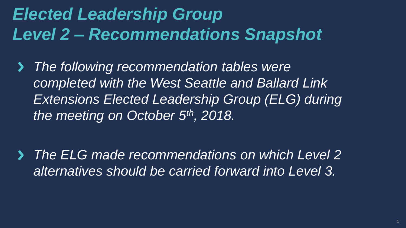# *Elected Leadership Group Level 2 – Recommendations Snapshot*

*The following recommendation tables were*   $\blacktriangleright$ *completed with the West Seattle and Ballard Link Extensions Elected Leadership Group (ELG) during the meeting on October 5th, 2018.* 

*The ELG made recommendations on which Level 2 alternatives should be carried forward into Level 3.*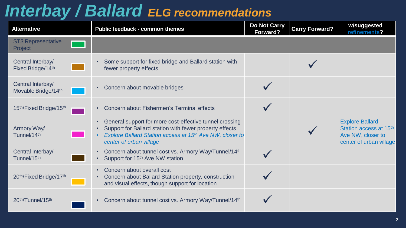#### *Interbay / Ballard ELG recommendations*

| <b>Alternative</b>                       | Public feedback - common themes                                                                                                                                                                           | Do Not Carry<br>Forward? | <b>Carry Forward?</b> | w/suggested<br>refinements?                                                                      |
|------------------------------------------|-----------------------------------------------------------------------------------------------------------------------------------------------------------------------------------------------------------|--------------------------|-----------------------|--------------------------------------------------------------------------------------------------|
| <b>ST3 Representative</b><br>Project     |                                                                                                                                                                                                           |                          |                       |                                                                                                  |
| Central Interbay/<br>Fixed Bridge/14th   | Some support for fixed bridge and Ballard station with<br>fewer property effects                                                                                                                          |                          |                       |                                                                                                  |
| Central Interbay/<br>Movable Bridge/14th | Concern about movable bridges                                                                                                                                                                             |                          |                       |                                                                                                  |
| 15th/Fixed Bridge/15th                   | Concern about Fishermen's Terminal effects                                                                                                                                                                |                          |                       |                                                                                                  |
| Armory Way/<br>Tunnel/14th               | General support for more cost-effective tunnel crossing<br>Support for Ballard station with fewer property effects<br>Explore Ballard Station access at 15th Ave NW, closer to<br>center of urban village |                          |                       | <b>Explore Ballard</b><br>Station access at 15th<br>Ave NW, closer to<br>center of urban village |
| Central Interbay/<br>Tunnel/15th         | • Concern about tunnel cost vs. Armory Way/Tunnel/14th<br>Support for 15 <sup>th</sup> Ave NW station                                                                                                     |                          |                       |                                                                                                  |
| 20th/Fixed Bridge/17th                   | Concern about overall cost<br>Concern about Ballard Station property, construction<br>and visual effects, though support for location                                                                     |                          |                       |                                                                                                  |
| 20th/Tunnel/15th                         | Concern about tunnel cost vs. Armory Way/Tunnel/14th                                                                                                                                                      |                          |                       |                                                                                                  |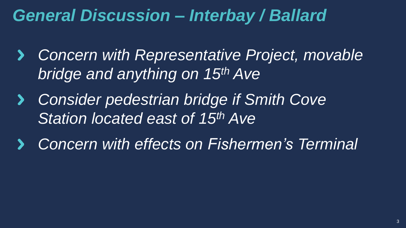## *General Discussion – Interbay / Ballard*

- *Concern with Representative Project, movable*   $\blacktriangleright$ *bridge and anything on 15th Ave*
- *Consider pedestrian bridge if Smith Cove*   $\sum$ *Station located east of 15th Ave*
- *Concern with effects on Fishermen's Terminal*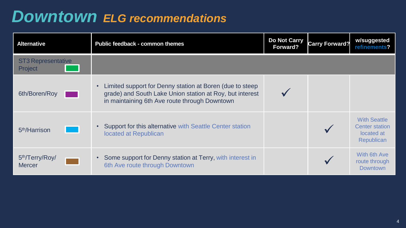#### *Downtown ELG recommendations*

| <b>Alternative</b>                           | <b>Public feedback - common themes</b>                                                                                                                                             | <b>Do Not Carry</b><br>Forward? | Carry Forward? | w/suggested<br>refinements?                                              |
|----------------------------------------------|------------------------------------------------------------------------------------------------------------------------------------------------------------------------------------|---------------------------------|----------------|--------------------------------------------------------------------------|
| <b>ST3 Representative</b><br>Project         |                                                                                                                                                                                    |                                 |                |                                                                          |
| 6th/Boren/Roy                                | Limited support for Denny station at Boren (due to steep<br>$\bullet$<br>grade) and South Lake Union station at Roy, but interest<br>in maintaining 6th Ave route through Downtown |                                 |                |                                                                          |
| 5 <sup>th</sup> /Harrison                    | • Support for this alternative with Seattle Center station<br>located at Republican                                                                                                |                                 |                | <b>With Seattle</b><br><b>Center station</b><br>located at<br>Republican |
| 5 <sup>th</sup> /Terry/Roy/<br><b>Mercer</b> | Some support for Denny station at Terry, with interest in<br>$\bullet$<br>6th Ave route through Downtown                                                                           |                                 |                | With 6th Ave<br>route through<br><b>Downtown</b>                         |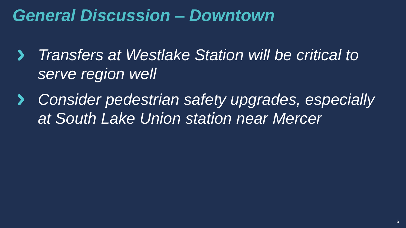# *General Discussion – Downtown*

- *Transfers at Westlake Station will be critical to*   $\blacktriangleright$ *serve region well*
- *Consider pedestrian safety upgrades, especially at South Lake Union station near Mercer*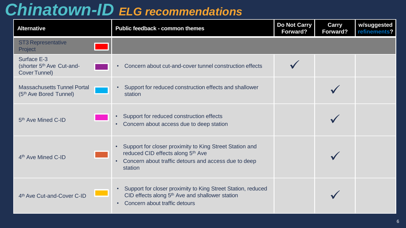## *Chinatown-ID ELG recommendations*

| <b>Alternative</b>                                                       | Public feedback - common themes                                                                                                                                           | <b>Do Not Carry</b><br>Forward? | <b>Carry</b><br>Forward? | w/suggested<br>refinements? |
|--------------------------------------------------------------------------|---------------------------------------------------------------------------------------------------------------------------------------------------------------------------|---------------------------------|--------------------------|-----------------------------|
| <b>ST3 Representative</b><br>Project                                     |                                                                                                                                                                           |                                 |                          |                             |
| Surface E-3<br>(shorter 5 <sup>th</sup> Ave Cut-and-<br>Cover Tunnel)    | Concern about cut-and-cover tunnel construction effects                                                                                                                   |                                 |                          |                             |
| <b>Massachusetts Tunnel Portal</b><br>(5 <sup>th</sup> Ave Bored Tunnel) | Support for reduced construction effects and shallower<br>$\bullet$<br>station                                                                                            |                                 |                          |                             |
| 5 <sup>th</sup> Ave Mined C-ID                                           | Support for reduced construction effects<br>Concern about access due to deep station<br>$\bullet$                                                                         |                                 |                          |                             |
| 4 <sup>th</sup> Ave Mined C-ID                                           | Support for closer proximity to King Street Station and<br>reduced CID effects along 5th Ave<br>Concern about traffic detours and access due to deep<br>station           |                                 |                          |                             |
| 4th Ave Cut-and-Cover C-ID                                               | Support for closer proximity to King Street Station, reduced<br>CID effects along 5 <sup>th</sup> Ave and shallower station<br>Concern about traffic detours<br>$\bullet$ |                                 |                          |                             |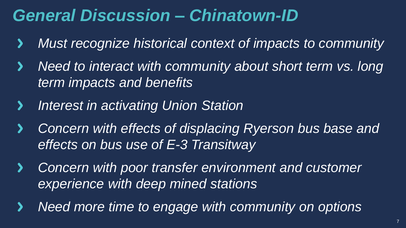# *General Discussion – Chinatown-ID*

- *Must recognize historical context of impacts to community*  $\blacktriangleright$
- *Need to interact with community about short term vs. long*   $\blacktriangleright$ *term impacts and benefits*
- *Interest in activating Union Station*  $\blacktriangleright$
- *Concern with effects of displacing Ryerson bus base and*   $\blacktriangleright$ *effects on bus use of E-3 Transitway*
- **Concern with poor transfer environment and customer**  $\blacktriangleright$ *experience with deep mined stations*
- *Need more time to engage with community on options* $\blacktriangleright$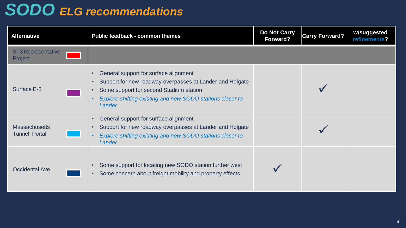# *SODO ELG recommendations*

| Alternative                                  | Public feedback - common themes                                                                                                                                                                                                  | <b>Do Not Carry</b><br>Forward? | <b>Carry Forward?</b> | w/suggested<br>refinements? |
|----------------------------------------------|----------------------------------------------------------------------------------------------------------------------------------------------------------------------------------------------------------------------------------|---------------------------------|-----------------------|-----------------------------|
| <b>ST3 Representative</b><br>Project         |                                                                                                                                                                                                                                  |                                 |                       |                             |
| Surface E-3                                  | General support for surface alignment<br>Support for new roadway overpasses at Lander and Holgate<br>$\bullet$<br>Some support for second Stadium station<br>Explore shifting existing and new SODO stations closer to<br>Lander |                                 |                       |                             |
| <b>Massachusetts</b><br><b>Tunnel Portal</b> | General support for surface alignment<br>Support for new roadway overpasses at Lander and Holgate<br>Explore shifting existing and new SODO stations closer to<br>Lander                                                         |                                 |                       |                             |
| Occidental Ave.                              | Some support for locating new SODO station further west<br>Some concern about freight mobility and property effects                                                                                                              |                                 |                       |                             |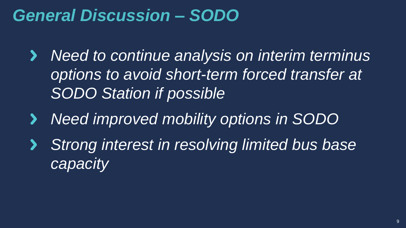## *General Discussion – SODO*

- *Need to continue analysis on interim terminus*   $\blacktriangleright$ *options to avoid short-term forced transfer at SODO Station if possible*
- *Need improved mobility options in SODO*  $\blacktriangleright$
- *Strong interest in resolving limited bus base*   $\blacktriangleright$ *capacity*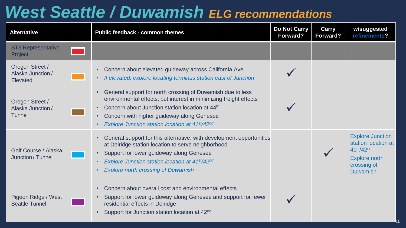# *West Seattle / Duwamish ELG recommendations*

| <b>Alternative</b>                               | Public feedback - common themes                                                                                                                                                                                                                                                                | <b>Do Not Carry</b><br>Forward? | <b>Carry</b><br>Forward? | w/suggested<br>refinements?                                                                                           |
|--------------------------------------------------|------------------------------------------------------------------------------------------------------------------------------------------------------------------------------------------------------------------------------------------------------------------------------------------------|---------------------------------|--------------------------|-----------------------------------------------------------------------------------------------------------------------|
| <b>ST3 Representative</b><br>Project             |                                                                                                                                                                                                                                                                                                |                                 |                          |                                                                                                                       |
| Oregon Street /<br>Alaska Junction /<br>Elevated | Concern about elevated guideway across California Ave<br>If elevated, explore locating terminus station east of Junction                                                                                                                                                                       |                                 |                          |                                                                                                                       |
| Oregon Street /<br>Alaska Junction /<br>Tunnel   | General support for north crossing of Duwamish due to less<br>environmental effects; but interest in minimizing freight effects<br>Concern about Junction station location at 44 <sup>th</sup><br>Concern with higher guideway along Genesee<br>Explore Junction station location at 41st/42nd |                                 |                          |                                                                                                                       |
| Golf Course / Alaska<br>Junction / Tunnel        | General support for this alternative, with development opportunities<br>at Delridge station location to serve neighborhood<br>Support for lower guideway along Genesee<br>Explore Junction station location at 41st/42nd<br><b>Explore north crossing of Duwamish</b>                          |                                 |                          | <b>Explore Junction</b><br>station location at<br>41st/42nd<br><b>Explore north</b><br>crossing of<br><b>Duwamish</b> |
| Pigeon Ridge / West<br><b>Seattle Tunnel</b>     | Concern about overall cost and environmental effects<br>Support for lower guideway along Genesee and support for fewer<br>residential effects in Delridge<br>Support for Junction station location at 42 <sup>nd</sup>                                                                         |                                 |                          |                                                                                                                       |